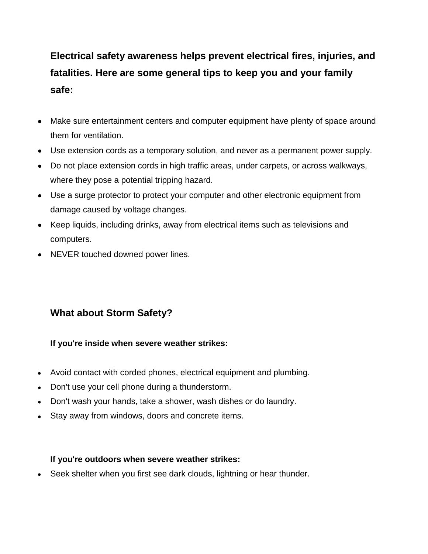## **Electrical safety awareness helps prevent electrical fires, injuries, and fatalities. Here are some general tips to keep you and your family safe:**

- Make sure entertainment centers and computer equipment have plenty of space around them for ventilation.
- Use extension cords as a temporary solution, and never as a permanent power supply.
- Do not place extension cords in high traffic areas, under carpets, or across walkways, where they pose a potential tripping hazard.
- Use a surge protector to protect your computer and other electronic equipment from damage caused by voltage changes.
- Keep liquids, including drinks, away from electrical items such as televisions and computers.
- NEVER touched downed power lines.

## **What about Storm Safety?**

## **If you're inside when severe weather strikes:**

- Avoid contact with corded phones, electrical equipment and plumbing.
- Don't use your cell phone during a thunderstorm.
- Don't wash your hands, take a shower, wash dishes or do laundry.
- Stay away from windows, doors and concrete items.

## **If you're outdoors when severe weather strikes:**

Seek shelter when you first see dark clouds, lightning or hear thunder.